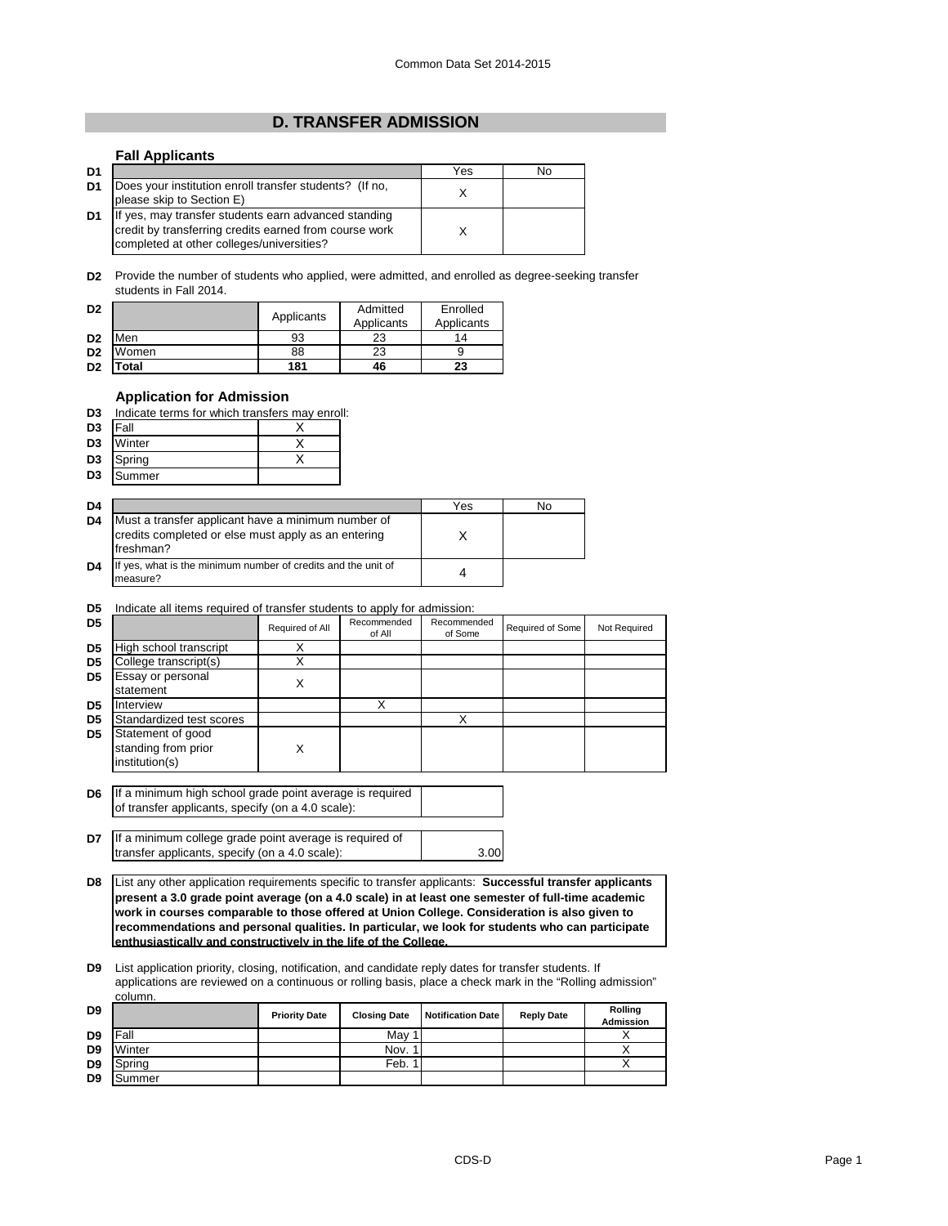## **D. TRANSFER ADMISSION**

## **Fall Applicants**

| D <sub>1</sub> |                                                                                                                                                             | Yes | No |
|----------------|-------------------------------------------------------------------------------------------------------------------------------------------------------------|-----|----|
| D <sub>1</sub> | Does your institution enroll transfer students? (If no,<br>please skip to Section E)                                                                        |     |    |
| D <sub>1</sub> | If yes, may transfer students earn advanced standing<br>credit by transferring credits earned from course work<br>completed at other colleges/universities? |     |    |

**D2** Provide the number of students who applied, were admitted, and enrolled as degree-seeking transfer students in Fall 2014.

| D <sub>2</sub> |       | Applicants | Admitted<br>Applicants | Enrolled<br>Applicants |
|----------------|-------|------------|------------------------|------------------------|
| D <sub>2</sub> | Men   | 93         | 23                     | 14                     |
| D <sub>2</sub> | Women | 88         | 23                     |                        |
| D <sub>2</sub> | otal  | 181        | 46                     | 23                     |

## **Application for Admission**

| D <sub>3</sub> | Indicate terms for which transfers may enroll: |  |
|----------------|------------------------------------------------|--|
|                |                                                |  |

| D3             | IFall  |  |
|----------------|--------|--|
| D <sub>3</sub> | Winter |  |
| D <sub>3</sub> | Spring |  |

|                | --   |  |
|----------------|------|--|
| D <sub>3</sub> | nmer |  |

| D <sub>4</sub> |                                                                                                                        | Yes | No |
|----------------|------------------------------------------------------------------------------------------------------------------------|-----|----|
| D <sub>4</sub> | Must a transfer applicant have a minimum number of<br>credits completed or else must apply as an entering<br>freshman? |     |    |
| D <sub>4</sub> | If yes, what is the minimum number of credits and the unit of<br>measure?                                              |     |    |

**D5** Indicate all items required of transfer students to apply for admission:

| D <sub>5</sub> |                                                            | Required of All | Recommended<br>of All | Recommended<br>of Some | Required of Some | Not Required |
|----------------|------------------------------------------------------------|-----------------|-----------------------|------------------------|------------------|--------------|
| D <sub>5</sub> | High school transcript                                     |                 |                       |                        |                  |              |
| D <sub>5</sub> | College transcript(s)                                      |                 |                       |                        |                  |              |
| D <sub>5</sub> | Essay or personal<br>statement                             | х               |                       |                        |                  |              |
| D <sub>5</sub> | Interview                                                  |                 | X                     |                        |                  |              |
| D <sub>5</sub> | Standardized test scores                                   |                 |                       | ◡                      |                  |              |
| D <sub>5</sub> | Statement of good<br>standing from prior<br>institution(s) |                 |                       |                        |                  |              |

**D6** If a minimum high school grade point average is required of transfer applicants, specify (on a 4.0 scale):

**D7** 3.00 If a minimum college grade point average is required of transfer applicants, specify (on a 4.0 scale):

**D8** List any other application requirements specific to transfer applicants: **Successful transfer applicants present a 3.0 grade point average (on a 4.0 scale) in at least one semester of full-time academic work in courses comparable to those offered at Union College. Consideration is also given to recommendations and personal qualities. In particular, we look for students who can participate enthusiastically and constructively in the life of the College.**

**D9** List application priority, closing, notification, and candidate reply dates for transfer students. If applications are reviewed on a continuous or rolling basis, place a check mark in the "Rolling admission" column.

| D <sub>9</sub> |        | <b>Priority Date</b> | <b>Closing Date</b> | <b>Notification Date</b> | <b>Reply Date</b> | Rolling<br>Admission |
|----------------|--------|----------------------|---------------------|--------------------------|-------------------|----------------------|
| D <sub>9</sub> | Fall   |                      | May 1               |                          |                   |                      |
| D <sub>9</sub> | Winter |                      | Nov. 1              |                          |                   |                      |
| D <sub>9</sub> | Spring |                      | Feb.                |                          |                   |                      |
| D <sub>9</sub> | Summer |                      |                     |                          |                   |                      |